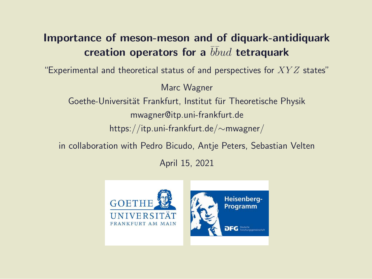#### Importance of meson-meson and of diquark-antidiquark creation operators for a  $\overline{b} \overline{b} u d$  tetraquark

"Experimental and theoretical status of and perspectives for  $XYZ$  states"

Marc Wagner

Goethe-Universität Frankfurt, Institut für Theoretische Physik mwagner@itp.uni-frankfurt.de https://itp.uni-frankfurt.de/∼mwagner/

in collaboration with Pedro Bicudo, Antje Peters, Sebastian Velten

April 15, 2021

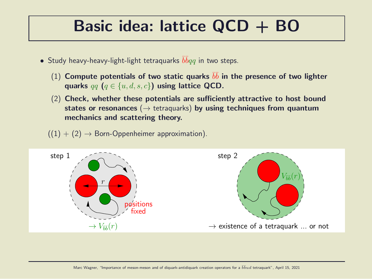#### Basic idea: lattice QCD + BO

- $\bullet$  Study heavy-heavy-light-light tetraquarks  $\bar{b}\bar{b}qq$  in two steps.
	- (1) Compute potentials of two static quarks  $b\bar{b}$  in the presence of two lighter quarks  $qq$   $(q \in \{u, d, s, c\})$  using lattice QCD.
	- (2) Check, whether these potentials are sufficiently attractive to host bound states or resonances ( $\rightarrow$  tetraquarks) by using techniques from quantum mechanics and scattering theory.
	- $((1) + (2) \rightarrow$  Born-Oppenheimer approximation).

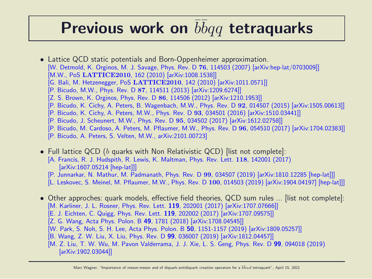### Previous work on  $\overline{b} \overline{b} q q$  tetraquarks

- Lattice QCD static potentials and Born-Oppenheimer approximation. [W. Detmold, K. Orginos, M. J. Savage, Phys. Rev. D 76, 114503 (2007) [arXiv:hep-lat/0703009]] [M.W., PoS LATTICE2010, 162 (2010) [arXiv:1008.1538]] [G. Bali, M. Hetzenegger, PoS LATTICE2010, 142 (2010) [arXiv:1011.0571]] [P. Bicudo, M.W., Phys. Rev. D 87, 114511 (2013) [arXiv:1209.6274]] [Z. S. Brown, K. Orginos, Phys. Rev. D 86, 114506 (2012) [arXiv:1210.1953]] [P. Bicudo, K. Cichy, A. Peters, B. Wagenbach, M.W., Phys. Rev. D 92, 014507 (2015) [arXiv:1505.00613]] [P. Bicudo, K. Cichy, A. Peters, M.W., Phys. Rev. D 93, 034501 (2016) [arXiv:1510.03441]] [P. Bicudo, J. Scheunert, M.W., Phys. Rev. D 95, 034502 (2017) [arXiv:1612.02758]] [P. Bicudo, M. Cardoso, A. Peters, M. Pflaumer, M.W., Phys. Rev. D 96, 054510 (2017) [arXiv:1704.02383]]
	- [P. Bicudo, A. Peters, S. Velten, M.W., arXiv:2101.00723]
- Full lattice QCD (b quarks with Non Relativistic QCD) [list not complete]: [A. Francis, R. J. Hudspith, R. Lewis, K. Maltman, Phys. Rev. Lett. 118, 142001 (2017) [arXiv:1607.05214 [hep-lat]]]
	- [P. Junnarkar, N. Mathur, M. Padmanath, Phys. Rev. D 99, 034507 (2019) [arXiv:1810.12285 [hep-lat]]]
	- [L. Leskovec, S. Meinel, M. Pflaumer, M.W., Phys. Rev. D 100, 014503 (2019) [arXiv:1904.04197] [hep-lat]]]
- Other approches: quark models, effective field theories, QCD sum rules ... [list not complete]: [M. Karliner, J. L. Rosner, Phys. Rev. Lett. 119, 202001 (2017) [arXiv:1707.07666]]
	- [E. J. Eichten, C. Quigg, Phys. Rev. Lett. 119, 202002 (2017) [arXiv:1707.09575]]
	- [Z. G. Wang, Acta Phys. Polon. B 49, 1781 (2018) [arXiv:1708.04545]]
	- [W. Park, S. Noh, S. H. Lee, Acta Phys. Polon. B 50, 1151-1157 (2019) [arXiv:1809.05257]]
	- [B. Wang, Z. W. Liu, X. Liu, Phys. Rev. D 99, 036007 (2019) [arXiv:1812.04457]]
	- [M. Z. Liu, T. W. Wu, M. Pavon Valderrama, J. J. Xie, L. S. Geng, Phys. Rev. D 99, 094018 (2019) [arXiv:1902.03044]]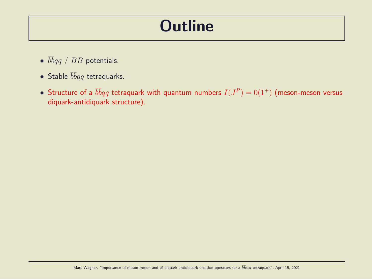#### **Outline**

- $\bullet$   $\bar{b}\bar{b}qq$  /  $BB$  potentials.
- Stable  $\bar{b} \bar{b} q q$  tetraquarks.
- $\bullet\,$  Structure of a  $\bar b\bar b qq$  tetraquark with quantum numbers  $I(J^P)=0(1^+)$  (meson-meson versus diquark-antidiquark structure).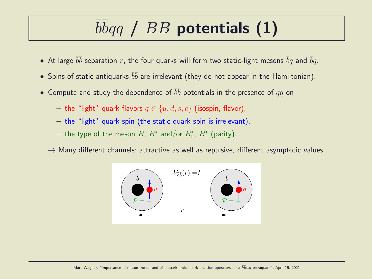# $\overline{b} \overline{b} q \overline{q}$  /  $BB$  potentials (1)

- $\bullet\,$  At large  $\bar b \bar b$  separation  $r$ , the four quarks will form two static-light mesons  $\bar b q$  and  $\bar b q.$
- $\bullet$  Spins of static antiquarks  $\bar b \bar b$  are irrelevant (they do not appear in the Hamiltonian).
- $\bullet\,$  Compute and study the dependence of  $\bar b \bar b$  potentials in the presence of  $qq$  on
	- the "light" quark flavors  $q \in \{u, d, s, c\}$  (isospin, flavor),
	- the "light" quark spin (the static quark spin is irrelevant),
	- $-$  the type of the meson  $B$ ,  $B^*$  and/or  $B^*_0$ ,  $B^*_1$  (parity).
	- $\rightarrow$  Many different channels: attractive as well as repulsive, different asymptotic values ...

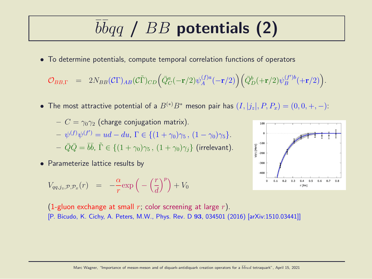# $\overline{b} \overline{b} q \overline{q}$  /  $BB$  potentials (2)

• To determine potentials, compute temporal correlation functions of operators

$$
\mathcal{O}_{BB,\Gamma} \quad = \quad 2N_{BB}(\mathcal{C}\Gamma)_{AB}(\mathcal{C}\tilde{\Gamma})_{CD} \Big( \bar{Q}_C^a(-{\bf r}/2) \psi^{(f)a}_A(-{\bf r}/2) \Big) \Big( \bar{Q}_D^b(+{\bf r}/2) \psi^{(f')b}_B(+{\bf r}/2) \Big).
$$

• The most attractive potential of a  $B^{(*)}B^*$  meson pair has  $(I, |j_z|, P, P_x) = (0, 0, +, -)$ :

$$
- C = \gamma_0 \gamma_2 \text{ (charge conjugation matrix)}.
$$
  
\n
$$
- \psi^{(f)} \psi^{(f')} = ud - du, \Gamma \in \{ (1 + \gamma_0) \gamma_5, (1 - \gamma_0) \gamma_5 \}.
$$
  
\n
$$
- \bar{Q} \bar{Q} = \bar{b} \bar{b}, \ \tilde{\Gamma} \in \{ (1 + \gamma_0) \gamma_5, (1 + \gamma_0) \gamma_j \} \text{ (irrelevant)}.
$$

• Parameterize lattice results by

$$
V_{qq,j_z,\mathcal{P},\mathcal{P}_x}(r) = -\frac{\alpha}{r} \exp\left(-\left(\frac{r}{d}\right)^p\right) + V_0
$$



(1-gluon exchange at small r; color screening at large r). [P. Bicudo, K. Cichy, A. Peters, M.W., Phys. Rev. D 93, 034501 (2016) [arXiv:1510.03441]]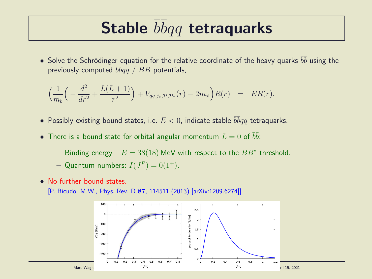### Stable  $\overline{b} \overline{b} q q$  tetraquarks

 $\bullet$  Solve the Schrödinger equation for the relative coordinate of the heavy quarks  $\bar b \bar b$  using the previously computed  $\bar b\bar b qq$  /  $BB$  potentials,

$$
\left(\frac{1}{m_b}\left(-\frac{d^2}{dr^2} + \frac{L(L+1)}{r^2}\right) + V_{qq,j_z,\mathcal{P},\mathcal{P}_x}(r) - 2m_{\rm sl}\right)R(r) = ER(r).
$$

- Possibly existing bound states, i.e.  $E < 0$ , indicate stable  $\overline{b} \overline{b} q q$  tetraquarks.
- $\bullet$  There is a bound state for orbital angular momentum  $L=0$  of  $\bar b \bar b$ :
	- − Binding energy  $-E = 38(18)$  MeV with respect to the  $BB^*$  threshold.
	- Quantum numbers:  $I(J^P) = 0(1^+).$
- No further bound states.
	- [P. Bicudo, M.W., Phys. Rev. D 87, 114511 (2013) [arXiv:1209.6274]]

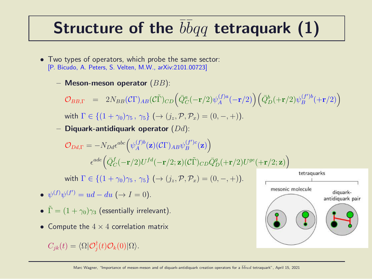## Structure of the  $\overline{b} \overline{b} q q$  tetraquark (1)

- Two types of operators, which probe the same sector: [P. Bicudo, A. Peters, S. Velten, M.W., arXiv:2101.00723]
	- Meson-meson operator  $(BB)$ :

 $\mathcal{O}_{BB,\Gamma}$  = 2 $N_{BB}(\mathcal{C}\Gamma)_{AB}(\mathcal{C}\tilde{\Gamma})_{CD} \Big(\bar{Q}^a_C(-{\bf r}/2)\psi^{(f)a}_A$  $\left(\begin{matrix} f)^a A \end{matrix}(-{\mathbf r}/2) \right) \left( \bar{Q}_D^b (+{\mathbf r}/2) \psi_B^{(f^\prime)b} \right)$  $\binom{(f')b}{B} (+r/2)$ with  $\Gamma \in \{(1+\gamma_0)\gamma_5, \gamma_5\} \, (\rightarrow (i_z, \mathcal{P}, \mathcal{P}_x) = (0, -, +))$ .

– Diquark-antidiquark operator  $(Dd)$ :

$$
\mathcal{O}_{Dd,\Gamma} = -N_{Dd}\epsilon^{abc} \Big(\psi_A^{(f)b}(\mathbf{z})(C\Gamma)_{AB}\psi_B^{(f')c}(\mathbf{z})\Big)
$$

$$
\epsilon^{ade} \Big(\bar{Q}_C^f(-\mathbf{r}/2)U^{fd}(-\mathbf{r}/2;\mathbf{z})(C\tilde{\Gamma})_{CD}\bar{Q}_D^g(+\mathbf{r}/2)U^{ge}(+\mathbf{r}/2;\mathbf{z})\Big)
$$

with  $\Gamma \in \{(1 + \gamma_0)\gamma_5, \gamma_5\}$   $(\rightarrow (i_z, \mathcal{P}, \mathcal{P}_x) = (0, -, +))$ .

- $\psi^{(f)}\psi^{(f')} = ud du \ (\rightarrow I = 0).$
- $\tilde{\Gamma} = (1 + \gamma_0)\gamma_3$  (essentially irrelevant).
- Compute the  $4 \times 4$  correlation matrix

 $C_{jk}(t) = \langle \Omega | \mathcal{O}_j^{\dagger}$  $_{j}^{\intercal}(t)\mathcal{O}_{k}(0)|\Omega\rangle.$ 

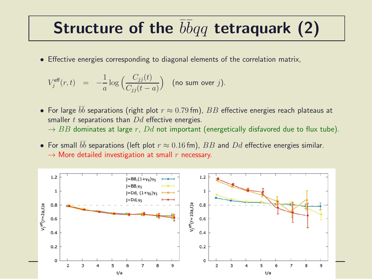### Structure of the  $\overline{b} \overline{b} q q$  tetraquark (2)

• Effective energies corresponding to diagonal elements of the correlation matrix,

$$
V_j^{\text{eff}}(r,t) = -\frac{1}{a} \log \Big( \frac{C_{jj}(t)}{C_{jj}(t-a)} \Big) \quad \text{(no sum over } j\text{)}.
$$

- $\bullet\,$  For large  $\bar b \bar b$  separations (right plot  $r\approx 0.79$  fm),  $BB$  effective energies reach plateaus at smaller  $t$  separations than  $Dd$  effective energies.  $\rightarrow$  BB dominates at large r, Dd not important (energetically disfavored due to flux tube).
- For small  $\bar{b}\bar{b}$  separations (left plot  $r \approx 0.16$  fm),  $BB$  and  $Dd$  effective energies similar.  $\rightarrow$  More detailed investigation at small r necessary.

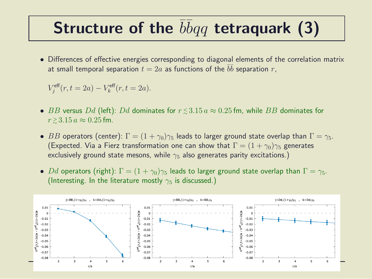## Structure of the  $\overline{b} \overline{b} q q$  tetraquark (3)

• Differences of effective energies corresponding to diagonal elements of the correlation matrix at small temporal separation  $t=2a$  as functions of the  $\bar{b}\bar{b}$  separation  $r,$ 

$$
V_j^{\text{eff}}(r, t = 2a) - V_k^{\text{eff}}(r, t = 2a).
$$

- $\bullet$   $BB$  versus  $Dd$  (left):  $Dd$  dominates for  $r\,{\lesssim}\,3.15\,a\approx 0.25\,{\rm fm},$  while  $BB$  dominates for  $r \gtrsim 3.15 a \approx 0.25$  fm.
- BB operators (center):  $\Gamma = (1 + \gamma_0)\gamma_5$  leads to larger ground state overlap than  $\Gamma = \gamma_5$ . (Expected. Via a Fierz transformation one can show that  $\Gamma = (1 + \gamma_0)\gamma_5$  generates exclusively ground state mesons, while  $\gamma_5$  also generates parity excitations.)
- Dd operators (right):  $\Gamma = (1 + \gamma_0)\gamma_5$  leads to larger ground state overlap than  $\Gamma = \gamma_5$ . (Interesting. In the literature mostly  $\gamma_5$  is discussed.)

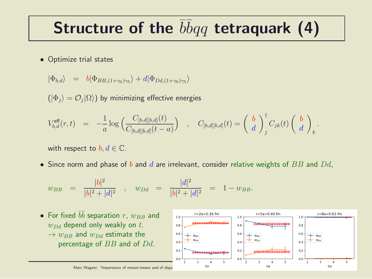## Structure of the  $\overline{b} \overline{b} q q$  tetraquark (4)

• Optimize trial states

$$
|\Phi_{b,d}\rangle = b|\Phi_{BB,(1+\gamma_0)\gamma_5}\rangle + d|\Phi_{Dd,(1+\gamma_0)\gamma_5}\rangle
$$

 $(|\Phi_j\rangle=\mathcal{O}_j|\Omega\rangle)$  by minimizing effective energies

$$
V_{b,d}^{\text{eff}}(r,t) = -\frac{1}{a} \log \left( \frac{C_{[b,d][b,d]}(t)}{C_{[b,d][b,d]}(t-a)} \right) , C_{[b,d][b,d]}(t) = \left( \begin{array}{c} b \\ d \end{array} \right)_{j}^{\dagger} C_{jk}(t) \left( \begin{array}{c} b \\ d \end{array} \right)_{k}.
$$

with respect to  $b, d \in \mathbb{C}$ .

• Since norm and phase of  $b$  and  $d$  are irrelevant, consider relative weights of  $BB$  and  $Dd$ ,

$$
w_{BB} = \frac{|b|^2}{|b|^2 + |d|^2}
$$
,  $w_{Dd} = \frac{|d|^2}{|b|^2 + |d|^2} = 1 - w_{BB}$ .

• For fixed ¯b ¯b separation r, wBB and wDd depend only weakly on t. → wBB and wDd estimate the percentage of BB and of Dd.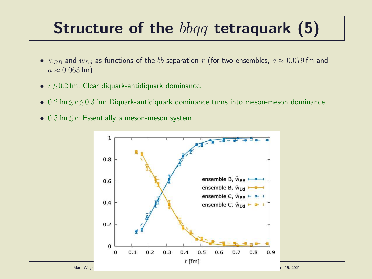## Structure of the  $\overline{b} \overline{b} q q$  tetraquark (5)

- $\bullet$   $w_{BB}$  and  $w_{Dd}$  as functions of the  $\bar{b}\bar{b}$  separation  $r$  (for two ensembles,  $a \approx 0.079$  fm and  $a \approx 0.063$  fm).
- $\bullet$   $r \lesssim 0.2$  fm: Clear diquark-antidiquark dominance.
- $\bullet$  0.2 fm $\lesssim$   $r$   $\lesssim$  0.3 fm: Diquark-antidiquark dominance turns into meson-meson dominance.
- $0.5$  fm $\lesssim r$ : Essentially a meson-meson system.

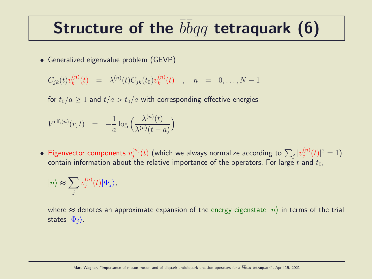### Structure of the  $\overline{b} \overline{b} q q$  tetraquark (6)

• Generalized eigenvalue problem (GEVP)

$$
C_{jk}(t)v_k^{(n)}(t) = \lambda^{(n)}(t)C_{jk}(t_0)v_k^{(n)}(t) , n = 0,..., N-1
$$

for  $t_0/a > 1$  and  $t/a > t_0/a$  with corresponding effective energies

$$
V^{\text{eff},(n)}(r,t) = -\frac{1}{a}\log\left(\frac{\lambda^{(n)}(t)}{\lambda^{(n)}(t-a)}\right).
$$

• Eigenvector components  $v_j^{(n)}$  $\psi_j^{(n)}(t)$  (which we always normalize according to  $\sum_j |v_j^{(n)}|$  $j^{(n)}(t)|^2=1$ contain information about the relative importance of the operators. For large t and  $t_0$ ,

$$
|n\rangle \approx \sum_j v_j^{(n)}(t) |\Phi_j\rangle,
$$

where  $\approx$  denotes an approximate expansion of the energy eigenstate  $|n\rangle$  in terms of the trial states  $|\Phi_i\rangle$ .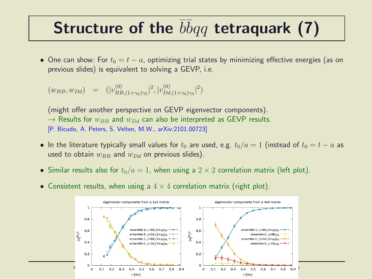### Structure of the  $\overline{b} \overline{b} q q$  tetraquark (7)

• One can show: For  $t_0 = t - a$ , optimizing trial states by minimizing effective energies (as on previous slides) is equivalent to solving a GEVP, i.e.

$$
(w_{BB}, w_{Dd}) = (|v_{BB,(1+\gamma_0)\gamma_5}^{(0)}|^2, |v_{DA,(1+\gamma_0)\gamma_5}^{(0)}|^2)
$$

(might offer another perspective on GEVP eigenvector components).  $\rightarrow$  Results for  $w_{BB}$  and  $w_{DA}$  can also be interpreted as GEVP results. [P. Bicudo, A. Peters, S. Velten, M.W., arXiv:2101.00723]

- In the literature typically small values for  $t_0$  are used, e.g.  $t_0/a = 1$  (instead of  $t_0 = t a$  as used to obtain  $w_{BB}$  and  $w_{Dd}$  on previous slides).
- Similar results also for  $t_0/a = 1$ , when using a  $2 \times 2$  correlation matrix (left plot).
- Consistent results, when using a  $4 \times 4$  correlation matrix (right plot).

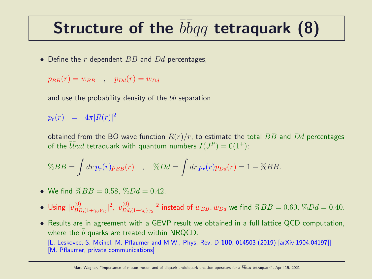## Structure of the  $\overline{b} \overline{b} q q$  tetraquark (8)

• Define the  $r$  dependent  $BB$  and  $Dd$  percentages,

$$
p_{BB}(r) = w_{BB} \quad , \quad p_{Dd}(r) = w_{Dd}
$$

and use the probability density of the  $\bar b \bar b$  separation

 $p_r(r)$  =  $4\pi |R(r)|^2$ 

obtained from the BO wave function  $R(r)/r$ , to estimate the total BB and Dd percentages of the  $\overline{bb}ud$  tetraquark with quantum numbers  $I(J^P)=0(1^+)$ :

$$
\%BB = \int dr \, p_r(r) p_{BB}(r) \quad , \quad \%Dd = \int dr \, p_r(r) p_{Dd}(r) = 1 - \%BB.
$$

- We find  $\%BB = 0.58$ ,  $\%Dd = 0.42$ .
- Using  $|v_{BF}^{(0)}|$  $\frac{1}{B B,(1+\gamma_0)\gamma_5}|^2,|v_{Dd}^{(0)}|$  $\int_{Dd,(1+\gamma_0)\gamma_5}^{(0)}|^2$  instead of  $w_{BB},w_{Dd}$  we find  $\%BB = 0.60, \,\%Dd = 0.40.5$
- Results are in agreement with a GEVP result we obtained in a full lattice QCD computation, where the  $b$  quarks are treated within NRQCD. [L. Leskovec, S. Meinel, M. Pflaumer and M.W., Phys. Rev. D 100, 014503 (2019) [arXiv:1904.04197]] [M. Pflaumer, private communications]